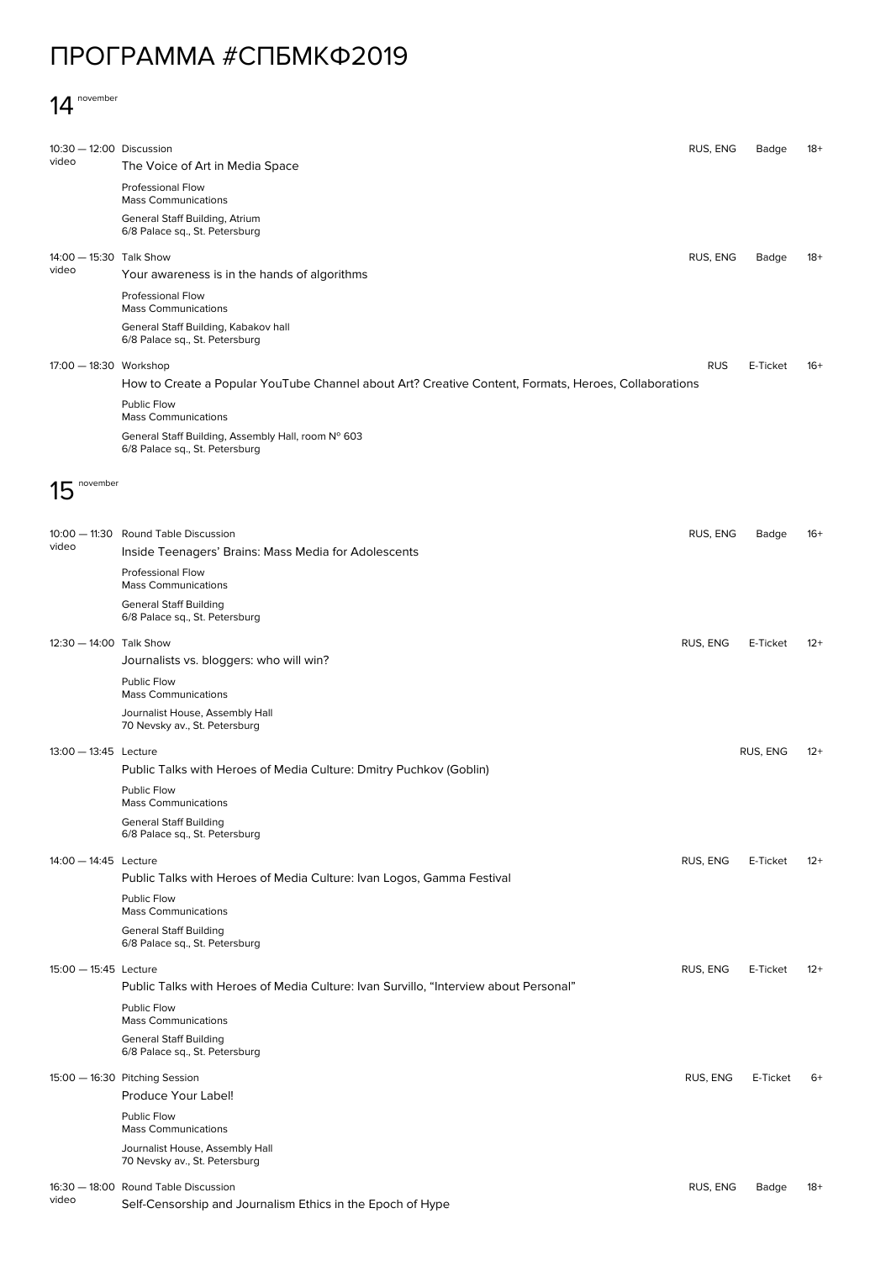## ПРОГРАММА #СПБМКФ2019

## 14 november

| 10:30 - 12:00 Discussion |                                                                                                      | RUS, ENG   | Badge    | 18+   |
|--------------------------|------------------------------------------------------------------------------------------------------|------------|----------|-------|
| video                    | The Voice of Art in Media Space                                                                      |            |          |       |
|                          | Professional Flow<br><b>Mass Communications</b>                                                      |            |          |       |
|                          | General Staff Building, Atrium<br>6/8 Palace sq., St. Petersburg                                     |            |          |       |
| 14:00 - 15:30 Talk Show  |                                                                                                      | RUS, ENG   | Badge    | 18+   |
| video                    | Your awareness is in the hands of algorithms                                                         |            |          |       |
|                          | Professional Flow<br><b>Mass Communications</b>                                                      |            |          |       |
|                          | General Staff Building, Kabakov hall<br>6/8 Palace sq., St. Petersburg                               |            |          |       |
| 17:00 - 18:30 Workshop   |                                                                                                      | <b>RUS</b> | E-Ticket | $16+$ |
|                          | How to Create a Popular YouTube Channel about Art? Creative Content, Formats, Heroes, Collaborations |            |          |       |
|                          | <b>Public Flow</b><br><b>Mass Communications</b>                                                     |            |          |       |
|                          | General Staff Building, Assembly Hall, room Nº 603<br>6/8 Palace sq., St. Petersburg                 |            |          |       |
| november                 |                                                                                                      |            |          |       |
|                          |                                                                                                      |            |          |       |
| video                    | 10:00 - 11:30 Round Table Discussion<br>Inside Teenagers' Brains: Mass Media for Adolescents         | RUS, ENG   | Badge    | $16+$ |
|                          | Professional Flow<br><b>Mass Communications</b>                                                      |            |          |       |
|                          | <b>General Staff Building</b><br>6/8 Palace sq., St. Petersburg                                      |            |          |       |
| 12:30 - 14:00 Talk Show  |                                                                                                      | RUS, ENG   | E-Ticket | $12+$ |
|                          | Journalists vs. bloggers: who will win?                                                              |            |          |       |
|                          | Public Flow<br><b>Mass Communications</b>                                                            |            |          |       |
|                          | Journalist House, Assembly Hall<br>70 Nevsky av., St. Petersburg                                     |            |          |       |
| 13:00 - 13:45 Lecture    |                                                                                                      |            | RUS, ENG | $12+$ |
|                          | Public Talks with Heroes of Media Culture: Dmitry Puchkov (Goblin)<br>Public Flow                    |            |          |       |
|                          | <b>Mass Communications</b>                                                                           |            |          |       |
|                          | <b>General Staff Building</b><br>6/8 Palace sq., St. Petersburg                                      |            |          |       |
| 14:00 - 14:45 Lecture    | Public Talks with Heroes of Media Culture: Ivan Logos, Gamma Festival                                | RUS, ENG   | E-Ticket | $12+$ |
|                          | Public Flow                                                                                          |            |          |       |
|                          | <b>Mass Communications</b>                                                                           |            |          |       |
|                          | <b>General Staff Building</b><br>6/8 Palace sq., St. Petersburg                                      |            |          |       |
| 15:00 - 15:45 Lecture    | Public Talks with Heroes of Media Culture: Ivan Survillo, "Interview about Personal"                 | RUS, ENG   | E-Ticket | $12+$ |
|                          | Public Flow<br><b>Mass Communications</b>                                                            |            |          |       |
|                          | <b>General Staff Building</b><br>6/8 Palace sq., St. Petersburg                                      |            |          |       |
|                          | 15:00 - 16:30 Pitching Session                                                                       | RUS, ENG   | E-Ticket | $6+$  |
|                          | Produce Your Label!                                                                                  |            |          |       |
|                          | Public Flow<br><b>Mass Communications</b>                                                            |            |          |       |
|                          | Journalist House, Assembly Hall<br>70 Nevsky av., St. Petersburg                                     |            |          |       |
|                          | 16:30 - 18:00 Round Table Discussion                                                                 | RUS, ENG   | Badge    | $18+$ |
| video                    | Self-Censorship and Journalism Ethics in the Epoch of Hype                                           |            |          |       |